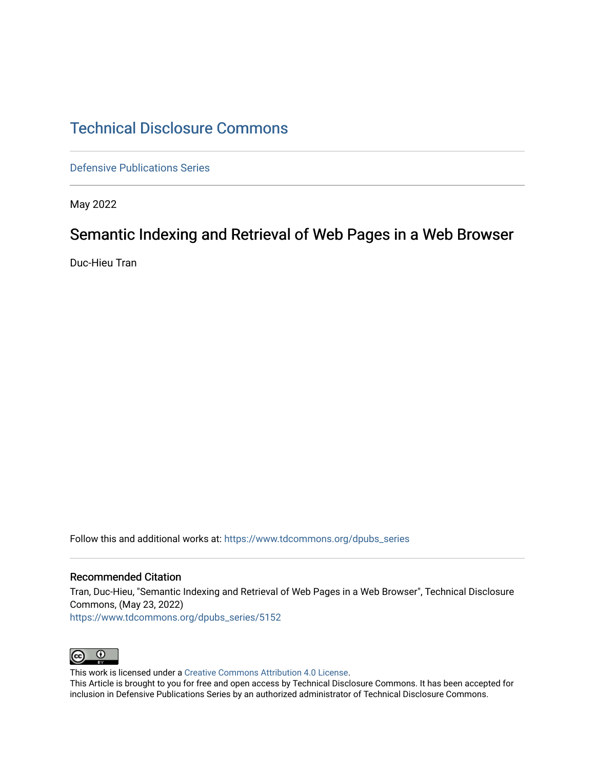## [Technical Disclosure Commons](https://www.tdcommons.org/)

[Defensive Publications Series](https://www.tdcommons.org/dpubs_series)

May 2022

# Semantic Indexing and Retrieval of Web Pages in a Web Browser

Duc-Hieu Tran

Follow this and additional works at: [https://www.tdcommons.org/dpubs\\_series](https://www.tdcommons.org/dpubs_series?utm_source=www.tdcommons.org%2Fdpubs_series%2F5152&utm_medium=PDF&utm_campaign=PDFCoverPages) 

### Recommended Citation

Tran, Duc-Hieu, "Semantic Indexing and Retrieval of Web Pages in a Web Browser", Technical Disclosure Commons, (May 23, 2022) [https://www.tdcommons.org/dpubs\\_series/5152](https://www.tdcommons.org/dpubs_series/5152?utm_source=www.tdcommons.org%2Fdpubs_series%2F5152&utm_medium=PDF&utm_campaign=PDFCoverPages)



This work is licensed under a [Creative Commons Attribution 4.0 License](http://creativecommons.org/licenses/by/4.0/deed.en_US).

This Article is brought to you for free and open access by Technical Disclosure Commons. It has been accepted for inclusion in Defensive Publications Series by an authorized administrator of Technical Disclosure Commons.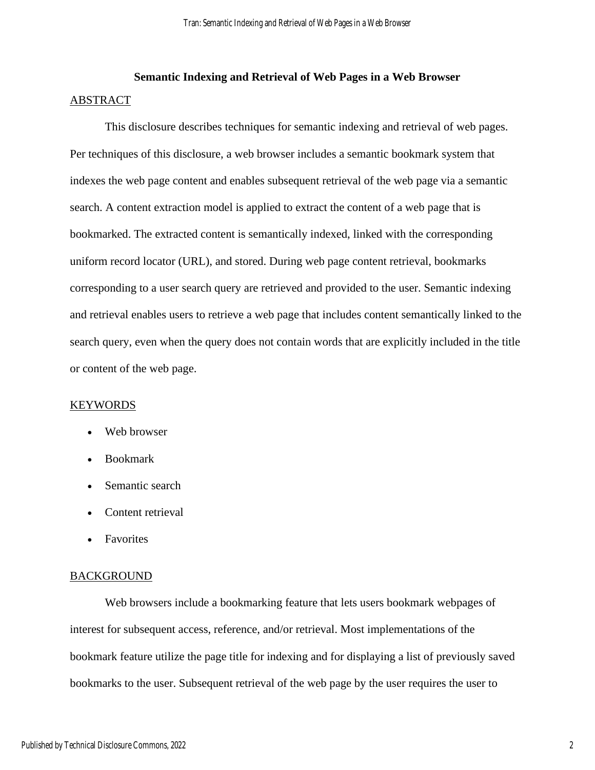## **Semantic Indexing and Retrieval of Web Pages in a Web Browser** ABSTRACT

This disclosure describes techniques for semantic indexing and retrieval of web pages. Per techniques of this disclosure, a web browser includes a semantic bookmark system that indexes the web page content and enables subsequent retrieval of the web page via a semantic search. A content extraction model is applied to extract the content of a web page that is bookmarked. The extracted content is semantically indexed, linked with the corresponding uniform record locator (URL), and stored. During web page content retrieval, bookmarks corresponding to a user search query are retrieved and provided to the user. Semantic indexing and retrieval enables users to retrieve a web page that includes content semantically linked to the search query, even when the query does not contain words that are explicitly included in the title or content of the web page.

#### KEYWORDS

- Web browser
- Bookmark
- Semantic search
- Content retrieval
- Favorites

### **BACKGROUND**

Web browsers include a bookmarking feature that lets users bookmark webpages of interest for subsequent access, reference, and/or retrieval. Most implementations of the bookmark feature utilize the page title for indexing and for displaying a list of previously saved bookmarks to the user. Subsequent retrieval of the web page by the user requires the user to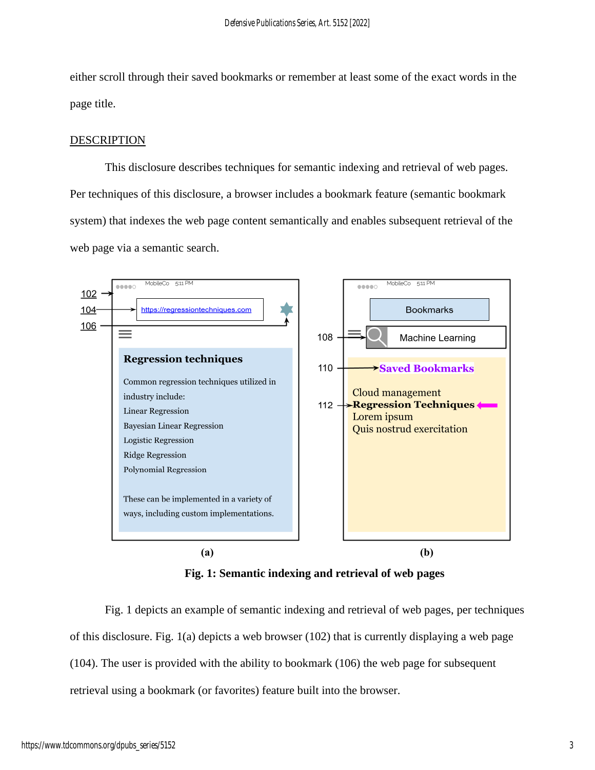either scroll through their saved bookmarks or remember at least some of the exact words in the page title.

## DESCRIPTION

This disclosure describes techniques for semantic indexing and retrieval of web pages. Per techniques of this disclosure, a browser includes a bookmark feature (semantic bookmark system) that indexes the web page content semantically and enables subsequent retrieval of the web page via a semantic search.



**Fig. 1: Semantic indexing and retrieval of web pages**

Fig. 1 depicts an example of semantic indexing and retrieval of web pages, per techniques of this disclosure. Fig. 1(a) depicts a web browser (102) that is currently displaying a web page (104). The user is provided with the ability to bookmark (106) the web page for subsequent retrieval using a bookmark (or favorites) feature built into the browser.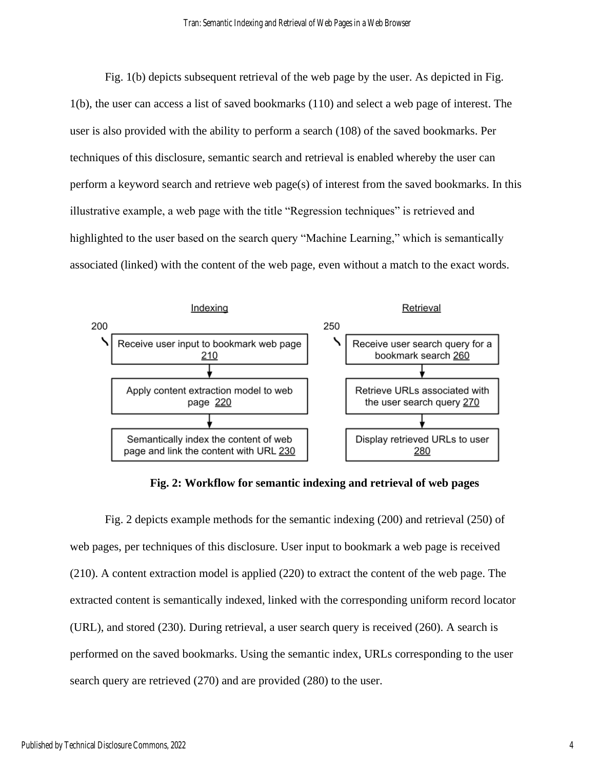Fig. 1(b) depicts subsequent retrieval of the web page by the user. As depicted in Fig. 1(b), the user can access a list of saved bookmarks (110) and select a web page of interest. The user is also provided with the ability to perform a search (108) of the saved bookmarks. Per techniques of this disclosure, semantic search and retrieval is enabled whereby the user can perform a keyword search and retrieve web page(s) of interest from the saved bookmarks. In this illustrative example, a web page with the title "Regression techniques" is retrieved and highlighted to the user based on the search query "Machine Learning," which is semantically associated (linked) with the content of the web page, even without a match to the exact words.



**Fig. 2: Workflow for semantic indexing and retrieval of web pages**

Fig. 2 depicts example methods for the semantic indexing (200) and retrieval (250) of web pages, per techniques of this disclosure. User input to bookmark a web page is received (210). A content extraction model is applied (220) to extract the content of the web page. The extracted content is semantically indexed, linked with the corresponding uniform record locator (URL), and stored (230). During retrieval, a user search query is received (260). A search is performed on the saved bookmarks. Using the semantic index, URLs corresponding to the user search query are retrieved (270) and are provided (280) to the user.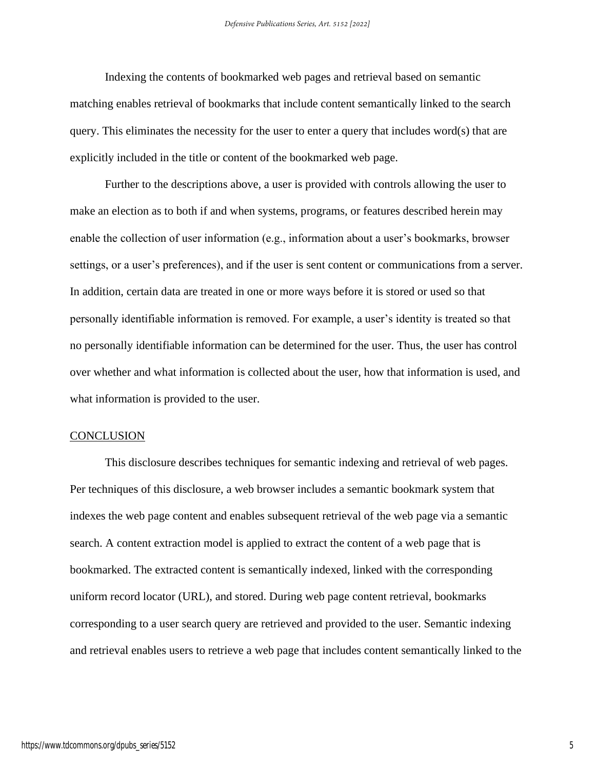Indexing the contents of bookmarked web pages and retrieval based on semantic matching enables retrieval of bookmarks that include content semantically linked to the search query. This eliminates the necessity for the user to enter a query that includes word(s) that are explicitly included in the title or content of the bookmarked web page.

Further to the descriptions above, a user is provided with controls allowing the user to make an election as to both if and when systems, programs, or features described herein may enable the collection of user information (e.g., information about a user's bookmarks, browser settings, or a user's preferences), and if the user is sent content or communications from a server. In addition, certain data are treated in one or more ways before it is stored or used so that personally identifiable information is removed. For example, a user's identity is treated so that no personally identifiable information can be determined for the user. Thus, the user has control over whether and what information is collected about the user, how that information is used, and what information is provided to the user.

#### **CONCLUSION**

This disclosure describes techniques for semantic indexing and retrieval of web pages. Per techniques of this disclosure, a web browser includes a semantic bookmark system that indexes the web page content and enables subsequent retrieval of the web page via a semantic search. A content extraction model is applied to extract the content of a web page that is bookmarked. The extracted content is semantically indexed, linked with the corresponding uniform record locator (URL), and stored. During web page content retrieval, bookmarks corresponding to a user search query are retrieved and provided to the user. Semantic indexing and retrieval enables users to retrieve a web page that includes content semantically linked to the

5